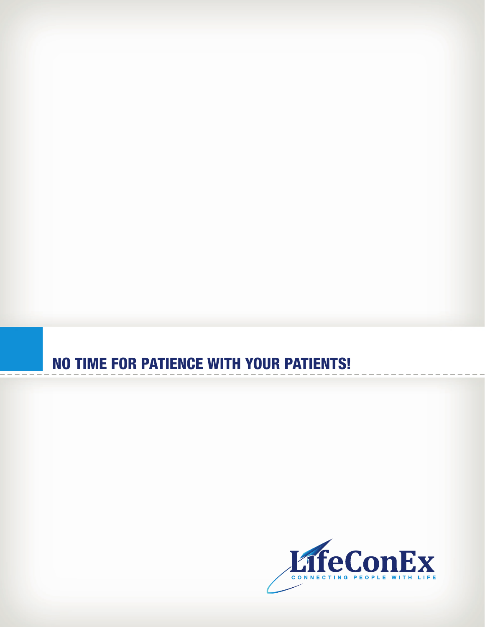# NO TIME FOR PATIENCE WITH YOUR PATIENTS!

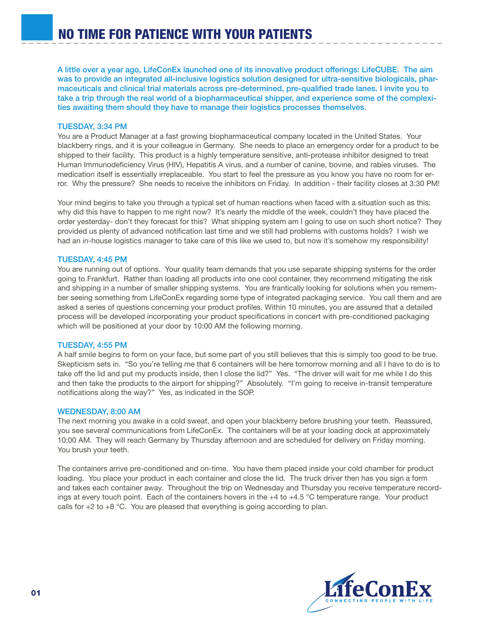A little over a year ago, LifeConEx launched one of its innovative product offerings: LifeCUBE. The aim was to provide an integrated all-inclusive logistics solution designed for ultra-sensitive biologicals, pharmaceuticals and clinical trial materials across pre-determined, pre-qualified trade lanes. I invite you to take a trip through the real world of a biopharmaceutical shipper, and experience some of the complexities awaiting them should they have to manage their logistics processes themselves.

## TUESDAY, 3:34 PM

You are a Product Manager at a fast growing biopharmaceutical company located in the United States. Your blackberry rings, and it is your colleague in Germany. She needs to place an emergency order for a product to be shipped to their facility. This product is a highly temperature sensitive, anti-protease inhibitor designed to treat Human Immunodeficiency Virus (HIV), Hepatitis A virus, and a number of canine, bovine, and rabies viruses. The medication itself is essentially irreplaceable. You start to feel the pressure as you know you have no room for error. Why the pressure? She needs to receive the inhibitors on Friday. In addition - their facility closes at 3:30 PM!

Your mind begins to take you through a typical set of human reactions when faced with a situation such as this: why did this have to happen to me right now? It's nearly the middle of the week, couldn't they have placed the order yesterday- don't they forecast for this? What shipping system am I going to use on such short notice? They provided us plenty of advanced notification last time and we still had problems with customs holds? I wish we had an in-house logistics manager to take care of this like we used to, but now it's somehow my responsibility!

### TUESDAY, 4:45 PM

You are running out of options. Your quality team demands that you use separate shipping systems for the order going to Frankfurt. Rather than loading all products into one cool container, they recommend mitigating the risk and shipping in a number of smaller shipping systems. You are frantically looking for solutions when you remember seeing something from LifeConEx regarding some type of integrated packaging service. You call them and are asked a series of questions concerning your product profiles. Within 10 minutes, you are assured that a detailed process will be developed incorporating your product specifications in concert with pre-conditioned packaging which will be positioned at your door by 10:00 AM the following morning.

### TUESDAY, 4:55 PM

A half smile begins to form on your face, but some part of you still believes that this is simply too good to be true. Skepticism sets in. "So you're telling me that 6 containers will be here tomorrow morning and all I have to do is to take off the lid and put my products inside, then I close the lid?" Yes. "The driver will wait for me while I do this and then take the products to the airport for shipping?" Absolutely. "I'm going to receive in-transit temperature notifications along the way?" Yes, as indicated in the SOP.

### WEDNESDAY, 8:00 AM

The next morning you awake in a cold sweat, and open your blackberry before brushing your teeth. Reassured, you see several communications from LifeConEx. The containers will be at your loading dock at approximately 10:00 AM. They will reach Germany by Thursday afternoon and are scheduled for delivery on Friday morning. You brush your teeth.

The containers arrive pre-conditioned and on-time. You have them placed inside your cold chamber for product loading. You place your product in each container and close the lid. The truck driver then has you sign a form and takes each container away. Throughout the trip on Wednesday and Thursday you receive temperature recordings at every touch point. Each of the containers hovers in the +4 to +4.5 °C temperature range. Your product calls for  $+2$  to  $+8$  °C. You are pleased that everything is going according to plan.

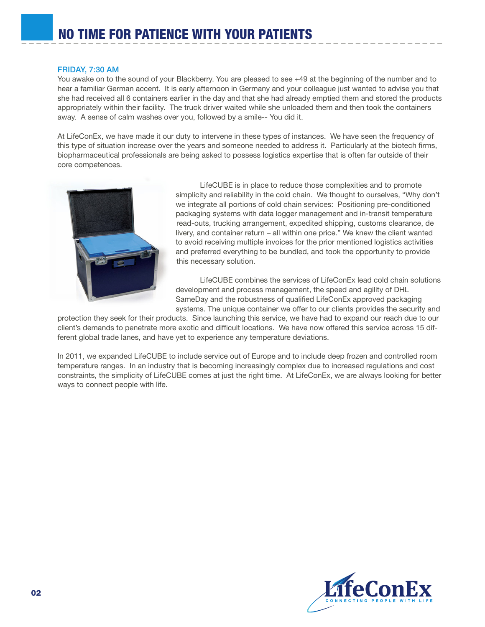### FRIDAY, 7:30 AM

You awake on to the sound of your Blackberry. You are pleased to see +49 at the beginning of the number and to hear a familiar German accent. It is early afternoon in Germany and your colleague just wanted to advise you that she had received all 6 containers earlier in the day and that she had already emptied them and stored the products appropriately within their facility. The truck driver waited while she unloaded them and then took the containers away. A sense of calm washes over you, followed by a smile-- You did it.

At LifeConEx, we have made it our duty to intervene in these types of instances. We have seen the frequency of this type of situation increase over the years and someone needed to address it. Particularly at the biotech firms, biopharmaceutical professionals are being asked to possess logistics expertise that is often far outside of their core competences.



 LifeCUBE is in place to reduce those complexities and to promote simplicity and reliability in the cold chain. We thought to ourselves, "Why don't we integrate all portions of cold chain services: Positioning pre-conditioned packaging systems with data logger management and in-transit temperature read-outs, trucking arrangement, expedited shipping, customs clearance, de livery, and container return – all within one price." We knew the client wanted to avoid receiving multiple invoices for the prior mentioned logistics activities and preferred everything to be bundled, and took the opportunity to provide this necessary solution.

 LifeCUBE combines the services of LifeConEx lead cold chain solutions development and process management, the speed and agility of DHL SameDay and the robustness of qualified LifeConEx approved packaging systems. The unique container we offer to our clients provides the security and

protection they seek for their products. Since launching this service, we have had to expand our reach due to our client's demands to penetrate more exotic and difficult locations. We have now offered this service across 15 different global trade lanes, and have yet to experience any temperature deviations.

In 2011, we expanded LifeCUBE to include service out of Europe and to include deep frozen and controlled room temperature ranges. In an industry that is becoming increasingly complex due to increased regulations and cost constraints, the simplicity of LifeCUBE comes at just the right time. At LifeConEx, we are always looking for better ways to connect people with life.